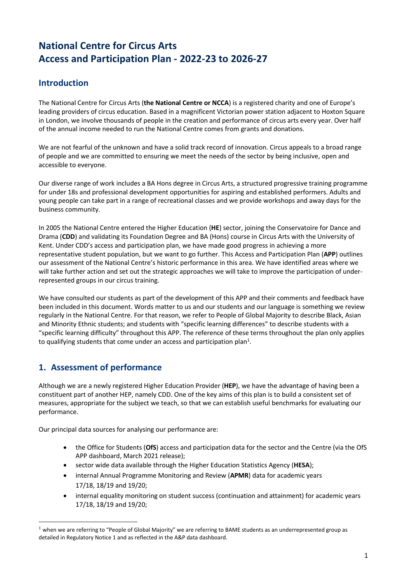# **National Centre for Circus Arts Access and Participation Plan - 2022-23 to 2026-27**

# **Introduction**

The National Centre for Circus Arts (**the National Centre or NCCA**) is a registered charity and one of Europe's leading providers of circus education. Based in a magnificent Victorian power station adjacent to Hoxton Square in London, we involve thousands of people in the creation and performance of circus arts every year. Over half of the annual income needed to run the National Centre comes from grants and donations.

We are not fearful of the unknown and have a solid track record of innovation. Circus appeals to a broad range of people and we are committed to ensuring we meet the needs of the sector by being inclusive, open and accessible to everyone.

Our diverse range of work includes a BA Hons degree in Circus Arts, a structured progressive training programme for under 18s and professional development opportunities for aspiring and established performers. Adults and young people can take part in a range of recreational classes and we provide workshops and away days for the business community.

In 2005 the National Centre entered the Higher Education (**HE**) sector, joining the Conservatoire for Dance and Drama (**CDD**) and validating its Foundation Degree and BA (Hons) course in Circus Arts with the University of Kent. Under CDD's access and participation plan, we have made good progress in achieving a more representative student population, but we want to go further. This Access and Participation Plan (**APP**) outlines our assessment of the National Centre's historic performance in this area. We have identified areas where we will take further action and set out the strategic approaches we will take to improve the participation of underrepresented groups in our circus training.

We have consulted our students as part of the development of this APP and their comments and feedback have been included in this document. Words matter to us and our students and our language is something we review regularly in the National Centre. For that reason, we refer to People of Global Majority to describe Black, Asian and Minority Ethnic students; and students with "specific learning differences" to describe students with a "specific learning difficulty" throughout this APP. The reference of these terms throughout the plan only applies to qualifying students that come under an access and participation plan<sup>1</sup>.

## **1. Assessment of performance**

Although we are a newly registered Higher Education Provider (**HEP**), we have the advantage of having been a constituent part of another HEP, namely CDD. One of the key aims of this plan is to build a consistent set of measures, appropriate for the subject we teach, so that we can establish useful benchmarks for evaluating our performance.

Our principal data sources for analysing our performance are:

- the Office for Students (**OfS**) access and participation data for the sector and the Centre (via the OfS APP dashboard, March 2021 release);
- sector wide data available through the Higher Education Statistics Agency (**HESA**);
- internal Annual Programme Monitoring and Review (**APMR**) data for academic years 17/18, 18/19 and 19/20;
- internal equality monitoring on student success (continuation and attainment) for academic years 17/18, 18/19 and 19/20;

 $1$  when we are referring to "People of Global Majority" we are referring to BAME students as an underrepresented group as detailed in Regulatory Notice 1 and as reflected in the A&P data dashboard.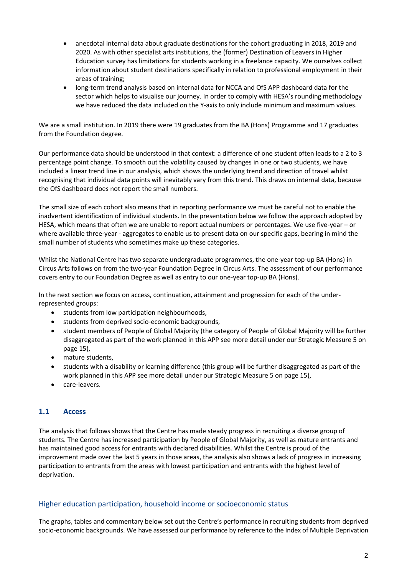- anecdotal internal data about graduate destinations for the cohort graduating in 2018, 2019 and 2020. As with other specialist arts institutions, the (former) Destination of Leavers in Higher Education survey has limitations for students working in a freelance capacity. We ourselves collect information about student destinations specifically in relation to professional employment in their areas of training;
- long-term trend analysis based on internal data for NCCA and OfS APP dashboard data for the sector which helps to visualise our journey. In order to comply with HESA's rounding methodology we have reduced the data included on the Y-axis to only include minimum and maximum values.

We are a small institution. In 2019 there were 19 graduates from the BA (Hons) Programme and 17 graduates from the Foundation degree.

Our performance data should be understood in that context: a difference of one student often leads to a 2 to 3 percentage point change. To smooth out the volatility caused by changes in one or two students, we have included a linear trend line in our analysis, which shows the underlying trend and direction of travel whilst recognising that individual data points will inevitably vary from this trend. This draws on internal data, because the OfS dashboard does not report the small numbers.

The small size of each cohort also means that in reporting performance we must be careful not to enable the inadvertent identification of individual students. In the presentation below we follow the approach adopted by HESA, which means that often we are unable to report actual numbers or percentages. We use five-year – or where available three-year - aggregates to enable us to present data on our specific gaps, bearing in mind the small number of students who sometimes make up these categories.

Whilst the National Centre has two separate undergraduate programmes, the one-year top-up BA (Hons) in Circus Arts follows on from the two-year Foundation Degree in Circus Arts. The assessment of our performance covers entry to our Foundation Degree as well as entry to our one-year top-up BA (Hons).

In the next section we focus on access, continuation, attainment and progression for each of the underrepresented groups:

- students from low participation neighbourhoods,
- students from deprived socio-economic backgrounds,
- student members of People of Global Majority (the category of People of Global Majority will be further disaggregated as part of the work planned in this APP see more detail under our Strategic Measure 5 on page 15),
- mature students,
- students with a disability or learning difference (this group will be further disaggregated as part of the work planned in this APP see more detail under our Strategic Measure 5 on page 15),
- care-leavers.

#### **1.1 Access**

The analysis that follows shows that the Centre has made steady progress in recruiting a diverse group of students. The Centre has increased participation by People of Global Majority, as well as mature entrants and has maintained good access for entrants with declared disabilities. Whilst the Centre is proud of the improvement made over the last 5 years in those areas, the analysis also shows a lack of progress in increasing participation to entrants from the areas with lowest participation and entrants with the highest level of deprivation.

#### Higher education participation, household income or socioeconomic status

The graphs, tables and commentary below set out the Centre's performance in recruiting students from deprived socio-economic backgrounds. We have assessed our performance by reference to the Index of Multiple Deprivation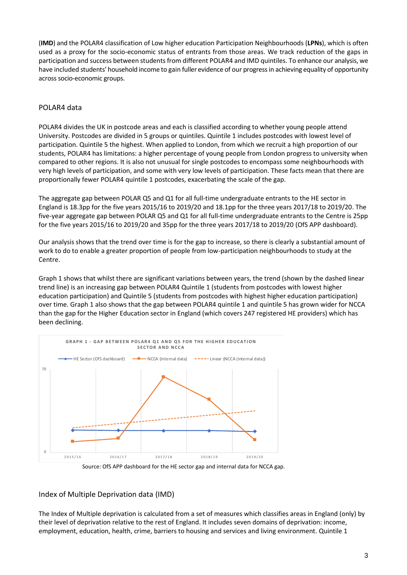(**IMD**) and the POLAR4 classification of Low higher education Participation Neighbourhoods (**LPNs**), which is often used as a proxy for the socio-economic status of entrants from those areas. We track reduction of the gaps in participation and success between students from different POLAR4 and IMD quintiles. To enhance our analysis, we have included students' household income to gain fuller evidence of our progress in achieving equality of opportunity across socio-economic groups.

### POLAR4 data

POLAR4 divides the UK in postcode areas and each is classified according to whether young people attend University. Postcodes are divided in 5 groups or quintiles. Quintile 1 includes postcodes with lowest level of participation. Quintile 5 the highest. When applied to London, from which we recruit a high proportion of our students, POLAR4 has limitations: a higher percentage of young people from London progress to university when compared to other regions. It is also not unusual for single postcodes to encompass some neighbourhoods with very high levels of participation, and some with very low levels of participation. These facts mean that there are proportionally fewer POLAR4 quintile 1 postcodes, exacerbating the scale of the gap.

The aggregate gap between POLAR Q5 and Q1 for all full-time undergraduate entrants to the HE sector in England is 18.3pp for the five years 2015/16 to 2019/20 and 18.1pp for the three years 2017/18 to 2019/20. The five-year aggregate gap between POLAR Q5 and Q1 for all full-time undergraduate entrants to the Centre is 25pp for the five years 2015/16 to 2019/20 and 35pp for the three years 2017/18 to 2019/20 (OfS APP dashboard).

Our analysis shows that the trend over time is for the gap to increase, so there is clearly a substantial amount of work to do to enable a greater proportion of people from low-participation neighbourhoods to study at the Centre.

Graph 1 shows that whilst there are significant variations between years, the trend (shown by the dashed linear trend line) is an increasing gap between POLAR4 Quintile 1 (students from postcodes with lowest higher education participation) and Quintile 5 (students from postcodes with highest higher education participation) over time. Graph 1 also shows that the gap between POLAR4 quintile 1 and quintile 5 has grown wider for NCCA than the gap for the Higher Education sector in England (which covers 247 registered HE providers) which has been declining.



Source: OfS APP dashboard for the HE sector gap and internal data for NCCA gap.

#### Index of Multiple Deprivation data (IMD)

The Index of Multiple deprivation is calculated from a set of measures which classifies areas in England (only) by their level of deprivation relative to the rest of England. It includes seven domains of deprivation: income, employment, education, health, crime, barriers to housing and services and living environment. Quintile 1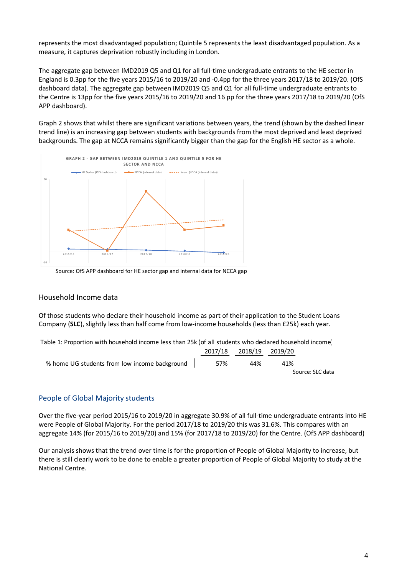represents the most disadvantaged population; Quintile 5 represents the least disadvantaged population. As a measure, it captures deprivation robustly including in London.

The aggregate gap between IMD2019 Q5 and Q1 for all full-time undergraduate entrants to the HE sector in England is 0.3pp for the five years 2015/16 to 2019/20 and -0.4pp for the three years 2017/18 to 2019/20. (OfS dashboard data). The aggregate gap between IMD2019 Q5 and Q1 for all full-time undergraduate entrants to the Centre is 13pp for the five years 2015/16 to 2019/20 and 16 pp for the three years 2017/18 to 2019/20 (OfS APP dashboard).

Graph 2 shows that whilst there are significant variations between years, the trend (shown by the dashed linear trend line) is an increasing gap between students with backgrounds from the most deprived and least deprived backgrounds. The gap at NCCA remains significantly bigger than the gap for the English HE sector as a whole.



Source: OfS APP dashboard for HE sector gap and internal data for NCCA gap

#### Household Income data

Of those students who declare their household income as part of their application to the Student Loans Company (**SLC**), slightly less than half come from low-income households (less than £25k) each year.

| Table 1: Proportion with household income less than 25k (of all students who declared household income |     |                         |     |                  |
|--------------------------------------------------------------------------------------------------------|-----|-------------------------|-----|------------------|
|                                                                                                        |     | 2017/18 2018/19 2019/20 |     |                  |
| % home UG students from low income background                                                          | 57% | 44%                     | 41% |                  |
|                                                                                                        |     |                         |     | Source: SLC data |

#### People of Global Majority students

Over the five-year period 2015/16 to 2019/20 in aggregate 30.9% of all full-time undergraduate entrants into HE were People of Global Majority. For the period 2017/18 to 2019/20 this was 31.6%. This compares with an aggregate 14% (for 2015/16 to 2019/20) and 15% (for 2017/18 to 2019/20) for the Centre. (OfS APP dashboard)

Our analysis shows that the trend over time is for the proportion of People of Global Majority to increase, but there is still clearly work to be done to enable a greater proportion of People of Global Majority to study at the National Centre.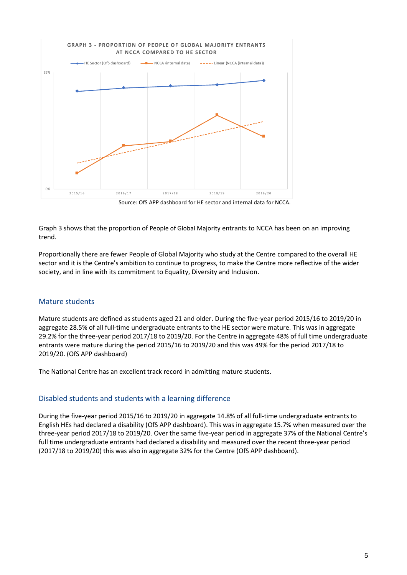

Source: OfS APP dashboard for HE sector and internal data for NCCA.

Graph 3 shows that the proportion of People of Global Majority entrants to NCCA has been on an improving trend.

Proportionally there are fewer People of Global Majority who study at the Centre compared to the overall HE sector and it is the Centre's ambition to continue to progress, to make the Centre more reflective of the wider society, and in line with its commitment to Equality, Diversity and Inclusion.

#### Mature students

Mature students are defined as students aged 21 and older. During the five-year period 2015/16 to 2019/20 in aggregate 28.5% of all full-time undergraduate entrants to the HE sector were mature. This was in aggregate 29.2% for the three-year period 2017/18 to 2019/20. For the Centre in aggregate 48% of full time undergraduate entrants were mature during the period 2015/16 to 2019/20 and this was 49% for the period 2017/18 to 2019/20. (OfS APP dashboard)

The National Centre has an excellent track record in admitting mature students.

#### Disabled students and students with a learning difference

During the five-year period 2015/16 to 2019/20 in aggregate 14.8% of all full-time undergraduate entrants to English HEs had declared a disability (OfS APP dashboard). This was in aggregate 15.7% when measured over the three-year period 2017/18 to 2019/20. Over the same five-year period in aggregate 37% of the National Centre's full time undergraduate entrants had declared a disability and measured over the recent three-year period (2017/18 to 2019/20) this was also in aggregate 32% for the Centre (OfS APP dashboard).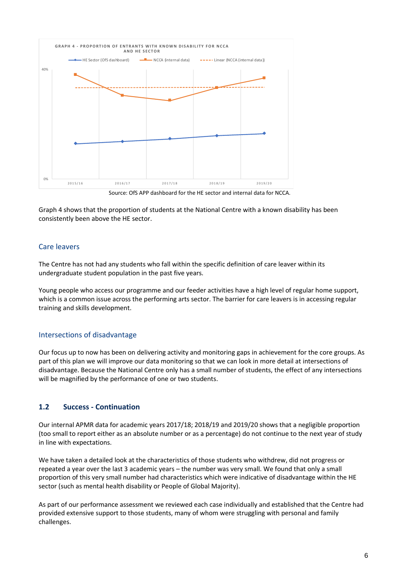

Source: OfS APP dashboard for the HE sector and internal data for NCCA.

Graph 4 shows that the proportion of students at the National Centre with a known disability has been consistently been above the HE sector.

#### Care leavers

The Centre has not had any students who fall within the specific definition of care leaver within its undergraduate student population in the past five years.

Young people who access our programme and our feeder activities have a high level of regular home support, which is a common issue across the performing arts sector. The barrier for care leavers is in accessing regular training and skills development.

#### Intersections of disadvantage

Our focus up to now has been on delivering activity and monitoring gaps in achievement for the core groups. As part of this plan we will improve our data monitoring so that we can look in more detail at intersections of disadvantage. Because the National Centre only has a small number of students, the effect of any intersections will be magnified by the performance of one or two students.

#### **1.2 Success - Continuation**

Our internal APMR data for academic years 2017/18; 2018/19 and 2019/20 shows that a negligible proportion (too small to report either as an absolute number or as a percentage) do not continue to the next year of study in line with expectations.

We have taken a detailed look at the characteristics of those students who withdrew, did not progress or repeated a year over the last 3 academic years – the number was very small. We found that only a small proportion of this very small number had characteristics which were indicative of disadvantage within the HE sector (such as mental health disability or People of Global Majority).

As part of our performance assessment we reviewed each case individually and established that the Centre had provided extensive support to those students, many of whom were struggling with personal and family challenges.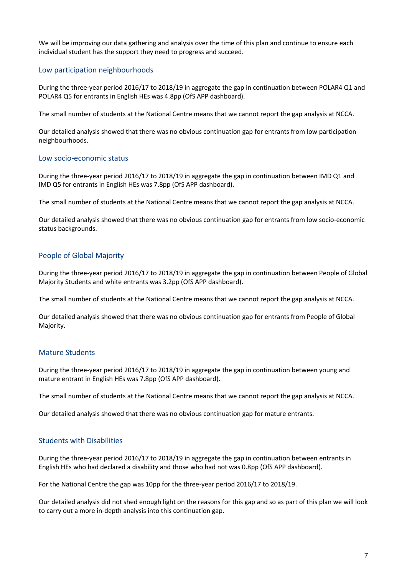We will be improving our data gathering and analysis over the time of this plan and continue to ensure each individual student has the support they need to progress and succeed.

#### Low participation neighbourhoods

During the three-year period 2016/17 to 2018/19 in aggregate the gap in continuation between POLAR4 Q1 and POLAR4 Q5 for entrants in English HEs was 4.8pp (OfS APP dashboard).

The small number of students at the National Centre means that we cannot report the gap analysis at NCCA.

Our detailed analysis showed that there was no obvious continuation gap for entrants from low participation neighbourhoods.

#### Low socio-economic status

During the three-year period 2016/17 to 2018/19 in aggregate the gap in continuation between IMD Q1 and IMD Q5 for entrants in English HEs was 7.8pp (OfS APP dashboard).

The small number of students at the National Centre means that we cannot report the gap analysis at NCCA.

Our detailed analysis showed that there was no obvious continuation gap for entrants from low socio-economic status backgrounds.

#### People of Global Majority

During the three-year period 2016/17 to 2018/19 in aggregate the gap in continuation between People of Global Majority Students and white entrants was 3.2pp (OfS APP dashboard).

The small number of students at the National Centre means that we cannot report the gap analysis at NCCA.

Our detailed analysis showed that there was no obvious continuation gap for entrants from People of Global Majority.

#### Mature Students

During the three-year period 2016/17 to 2018/19 in aggregate the gap in continuation between young and mature entrant in English HEs was 7.8pp (OfS APP dashboard).

The small number of students at the National Centre means that we cannot report the gap analysis at NCCA.

Our detailed analysis showed that there was no obvious continuation gap for mature entrants.

#### Students with Disabilities

During the three-year period 2016/17 to 2018/19 in aggregate the gap in continuation between entrants in English HEs who had declared a disability and those who had not was 0.8pp (OfS APP dashboard).

For the National Centre the gap was 10pp for the three-year period 2016/17 to 2018/19.

Our detailed analysis did not shed enough light on the reasons for this gap and so as part of this plan we will look to carry out a more in-depth analysis into this continuation gap.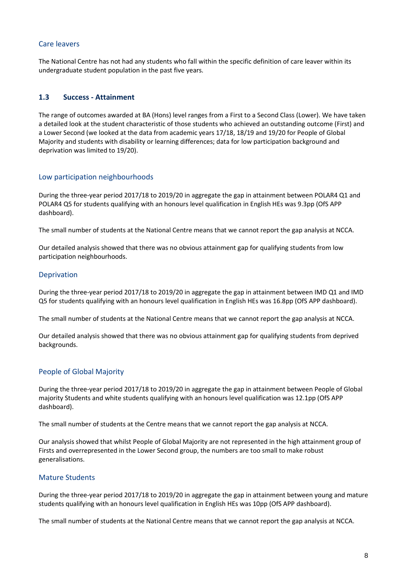#### Care leavers

The National Centre has not had any students who fall within the specific definition of care leaver within its undergraduate student population in the past five years.

#### **1.3 Success - Attainment**

The range of outcomes awarded at BA (Hons) level ranges from a First to a Second Class (Lower). We have taken a detailed look at the student characteristic of those students who achieved an outstanding outcome (First) and a Lower Second (we looked at the data from academic years 17/18, 18/19 and 19/20 for People of Global Majority and students with disability or learning differences; data for low participation background and deprivation was limited to 19/20).

#### Low participation neighbourhoods

During the three-year period 2017/18 to 2019/20 in aggregate the gap in attainment between POLAR4 Q1 and POLAR4 Q5 for students qualifying with an honours level qualification in English HEs was 9.3pp (OfS APP dashboard).

The small number of students at the National Centre means that we cannot report the gap analysis at NCCA.

Our detailed analysis showed that there was no obvious attainment gap for qualifying students from low participation neighbourhoods.

#### Deprivation

During the three-year period 2017/18 to 2019/20 in aggregate the gap in attainment between IMD Q1 and IMD Q5 for students qualifying with an honours level qualification in English HEs was 16.8pp (OfS APP dashboard).

The small number of students at the National Centre means that we cannot report the gap analysis at NCCA.

Our detailed analysis showed that there was no obvious attainment gap for qualifying students from deprived backgrounds.

#### People of Global Majority

During the three-year period 2017/18 to 2019/20 in aggregate the gap in attainment between People of Global majority Students and white students qualifying with an honours level qualification was 12.1pp (OfS APP dashboard).

The small number of students at the Centre means that we cannot report the gap analysis at NCCA.

Our analysis showed that whilst People of Global Majority are not represented in the high attainment group of Firsts and overrepresented in the Lower Second group, the numbers are too small to make robust generalisations.

#### Mature Students

During the three-year period 2017/18 to 2019/20 in aggregate the gap in attainment between young and mature students qualifying with an honours level qualification in English HEs was 10pp (OfS APP dashboard).

The small number of students at the National Centre means that we cannot report the gap analysis at NCCA.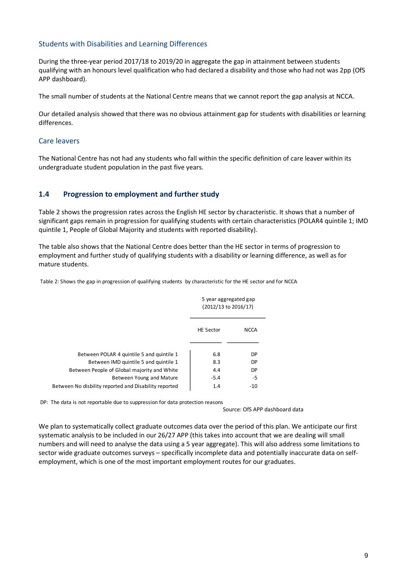#### Students with Disabilities and Learning Differences

During the three-year period 2017/18 to 2019/20 in aggregate the gap in attainment between students qualifying with an honours level qualification who had declared a disability and those who had not was 2pp (OfS APP dashboard).

The small number of students at the National Centre means that we cannot report the gap analysis at NCCA.

Our detailed analysis showed that there was no obvious attainment gap for students with disabilities or learning differences.

#### Care leavers

The National Centre has not had any students who fall within the specific definition of care leaver within its undergraduate student population in the past five years.

#### **1.4 Progression to employment and further study**

Table 2 shows the progression rates across the English HE sector by characteristic. It shows that a number of significant gaps remain in progression for qualifying students with certain characteristics (POLAR4 quintile 1; IMD quintile 1, People of Global Majority and students with reported disability).

The table also shows that the National Centre does better than the HE sector in terms of progression to employment and further study of qualifying students with a disability or learning difference, as well as for mature students.

Table 2: Shows the gap in progression of qualifying students by characteristic for the HE sector and for NCCA

|                                                       |                  | 5 year aggregated gap<br>(2012/13 to 2016/17) |
|-------------------------------------------------------|------------------|-----------------------------------------------|
|                                                       | <b>HE Sector</b> | <b>NCCA</b>                                   |
|                                                       |                  |                                               |
| Between POLAR 4 quintile 5 and quintile 1             | 6.8              | <b>DP</b>                                     |
| Between IMD quintile 5 and quintile 1                 | 8.3              | <b>DP</b>                                     |
| Between People of Global majority and White           | 4.4              | DP                                            |
| Between Young and Mature                              | $-5.4$           | -5                                            |
| Between No disbility reported and Disability reported | 1.4              | -10                                           |
|                                                       |                  |                                               |

DP: The data is not reportable due to suppression for data protection reasons

Source: OfS APP dashboard data

We plan to systematically collect graduate outcomes data over the period of this plan. We anticipate our first systematic analysis to be included in our 26/27 APP (this takes into account that we are dealing will small numbers and will need to analyse the data using a 5 year aggregate). This will also address some limitations to sector wide graduate outcomes surveys – specifically incomplete data and potentially inaccurate data on selfemployment, which is one of the most important employment routes for our graduates.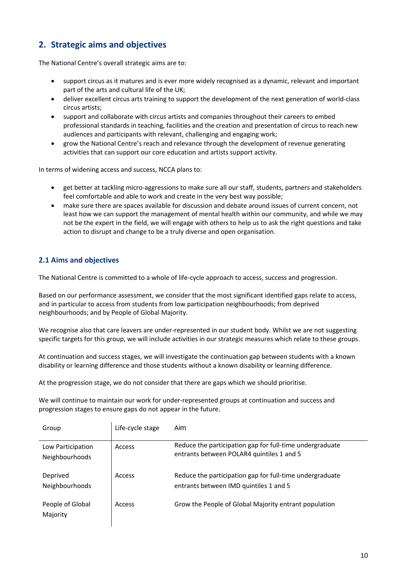# **2. Strategic aims and objectives**

The National Centre's overall strategic aims are to:

- support circus as it matures and is ever more widely recognised as a dynamic, relevant and important part of the arts and cultural life of the UK;
- deliver excellent circus arts training to support the development of the next generation of world-class circus artists;
- support and collaborate with circus artists and companies throughout their careers to embed professional standards in teaching, facilities and the creation and presentation of circus to reach new audiences and participants with relevant, challenging and engaging work;
- grow the National Centre's reach and relevance through the development of revenue generating activities that can support our core education and artists support activity.

In terms of widening access and success, NCCA plans to:

- get better at tackling micro-aggressions to make sure all our staff, students, partners and stakeholders feel comfortable and able to work and create in the very best way possible;
- make sure there are spaces available for discussion and debate around issues of current concern, not least how we can support the management of mental health within our community, and while we may not be the expert in the field, we will engage with others to help us to ask the right questions and take action to disrupt and change to be a truly diverse and open organisation.

#### **2.1 Aims and objectives**

The National Centre is committed to a whole of life-cycle approach to access, success and progression.

Based on our performance assessment, we consider that the most significant identified gaps relate to access, and in particular to access from students from low participation neighbourhoods; from deprived neighbourhoods; and by People of Global Majority.

We recognise also that care leavers are under-represented in our student body. Whilst we are not suggesting specific targets for this group, we will include activities in our strategic measures which relate to these groups.

At continuation and success stages, we will investigate the continuation gap between students with a known disability or learning difference and those students without a known disability or learning difference.

At the progression stage, we do not consider that there are gaps which we should prioritise.

We will continue to maintain our work for under-represented groups at continuation and success and progression stages to ensure gaps do not appear in the future.

| Group                               | Life-cycle stage | Aim                                                                                                   |
|-------------------------------------|------------------|-------------------------------------------------------------------------------------------------------|
| Low Participation<br>Neighbourhoods | Access           | Reduce the participation gap for full-time undergraduate<br>entrants between POLAR4 quintiles 1 and 5 |
| Deprived<br>Neighbourhoods          | Access           | Reduce the participation gap for full-time undergraduate<br>entrants between IMD quintiles 1 and 5    |
| People of Global<br>Majority        | Access           | Grow the People of Global Majority entrant population                                                 |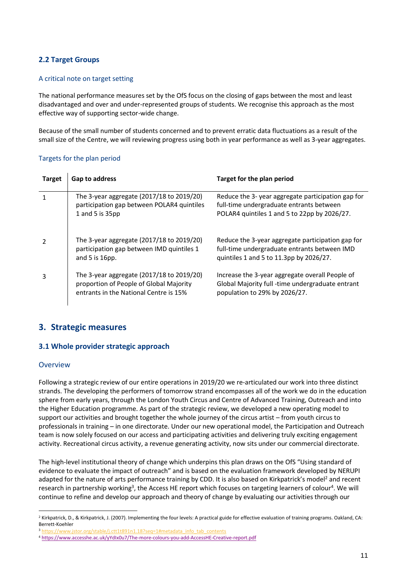#### **2.2 Target Groups**

#### A critical note on target setting

The national performance measures set by the OfS focus on the closing of gaps between the most and least disadvantaged and over and under-represented groups of students. We recognise this approach as the most effective way of supporting sector-wide change.

Because of the small number of students concerned and to prevent erratic data fluctuations as a result of the small size of the Centre, we will reviewing progress using both in year performance as well as 3-year aggregates.

#### Targets for the plan period

| <b>Target</b> | Gap to address                                                                                                                 | Target for the plan period                                                                                                                    |
|---------------|--------------------------------------------------------------------------------------------------------------------------------|-----------------------------------------------------------------------------------------------------------------------------------------------|
|               | The 3-year aggregate (2017/18 to 2019/20)<br>participation gap between POLAR4 quintiles<br>1 and 5 is 35pp                     | Reduce the 3-year aggregate participation gap for<br>full-time undergraduate entrants between<br>POLAR4 quintiles 1 and 5 to 22pp by 2026/27. |
|               | The 3-year aggregate (2017/18 to 2019/20)<br>participation gap between IMD quintiles 1<br>and $5$ is 16pp.                     | Reduce the 3-year aggregate participation gap for<br>full-time undergraduate entrants between IMD<br>quintiles 1 and 5 to 11.3pp by 2026/27.  |
| 3             | The 3-year aggregate (2017/18 to 2019/20)<br>proportion of People of Global Majority<br>entrants in the National Centre is 15% | Increase the 3-year aggregate overall People of<br>Global Majority full -time undergraduate entrant<br>population to 29% by 2026/27.          |

#### **3. Strategic measures**

#### **3.1 Whole provider strategic approach**

#### Overview

Following a strategic review of our entire operations in 2019/20 we re-articulated our work into three distinct strands. The developing the performers of tomorrow strand encompasses all of the work we do in the education sphere from early years, through the London Youth Circus and Centre of Advanced Training, Outreach and into the Higher Education programme. As part of the strategic review, we developed a new operating model to support our activities and brought together the whole journey of the circus artist – from youth circus to professionals in training – in one directorate. Under our new operational model, the Participation and Outreach team is now solely focused on our access and participating activities and delivering truly exciting engagement activity. Recreational circus activity, a revenue generating activity, now sits under our commercial directorate.

The high-level institutional theory of change which underpins this plan draws on the OfS "Using standard of evidence to evaluate the impact of outreach" and is based on the evaluation framework developed by NERUPI adapted for the nature of arts performance training by CDD. It is also based on Kirkpatrick's model<sup>2</sup> and recent research in partnership working<sup>3</sup>, the Access HE report which focuses on targeting learners of colour<sup>4</sup>. We will continue to refine and develop our approach and theory of change by evaluating our activities through our

<sup>&</sup>lt;sup>2</sup> Kirkpatrick, D., & Kirkpatrick, J. (2007). Implementing the four levels: A practical guide for effective evaluation of training programs. Oakland, CA: Berrett-Koehler

<sup>&</sup>lt;sup>3</sup> [https://www.jstor.org/stable/j.ctt1t891n1.18?seq=1#metadata\\_info\\_tab\\_contents](https://www.jstor.org/stable/j.ctt1t891n1.18?seq=1#metadata_info_tab_contents)

<sup>4</sup> <https://www.accesshe.ac.uk/yYdIx0u7/The-more-colours-you-add-AccessHE-Creative-report.pdf>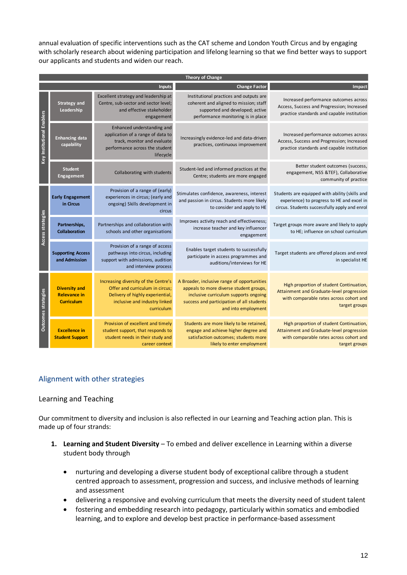annual evaluation of specific interventions such as the CAT scheme and London Youth Circus and by engaging with scholarly research about widening participation and lifelong learning so that we find better ways to support our applicants and students and widen our reach.

|                            |                                                                  |                                                                                                                                                                           | Theory of Change                                                                                                                                                                                    |                                                                                                                                                   |
|----------------------------|------------------------------------------------------------------|---------------------------------------------------------------------------------------------------------------------------------------------------------------------------|-----------------------------------------------------------------------------------------------------------------------------------------------------------------------------------------------------|---------------------------------------------------------------------------------------------------------------------------------------------------|
|                            |                                                                  | Inputs                                                                                                                                                                    | <b>Change Factor</b>                                                                                                                                                                                | Impact                                                                                                                                            |
|                            | <b>Strategy and</b><br>Leadership                                | Excellent strategy and leadership at<br>Centre, sub-sector and sector level;<br>and effective stakeholder<br>engagement                                                   | Institutional practices and outputs are<br>coherent and aligned to mission; staff<br>supported and developed; active<br>performance monitoring is in place                                          | Increased performance outcomes across<br>Access, Success and Progression; Increased<br>practice standards and capable institution                 |
| Key Institutional Enablers | <b>Enhancing data</b><br>capability                              | Enhanced understanding and<br>application of a range of data to<br>track, monitor and evaluate<br>performance across the student<br>lifecycle                             | Increasingly evidence-led and data-driven<br>practices, continuous improvement                                                                                                                      | Increased performance outcomes across<br>Access, Success and Progression; Increased<br>practice standards and capable institution                 |
|                            | <b>Student</b><br><b>Engagement</b>                              | Student-led and informed practices at the<br>Collaborating with students<br>Centre; students are more engaged                                                             |                                                                                                                                                                                                     | Better student outcomes (success,<br>engagement, NSS &TEF), Collaborative<br>community of practice                                                |
|                            | <b>Early Engagement</b><br>in Circus                             | Provision of a range of (early)<br>experiences in circus; (early and<br>ongoing) Skills development in<br>circus                                                          | Stimulates confidence, awareness, interest<br>and passion in circus. Students more likely<br>to consider and apply to HE                                                                            | Students are equipped with ability (skills and<br>experience) to progress to HE and excel in<br>circus. Students successfully apply and enrol     |
| Access strategies          | Partnerships,<br><b>Collaboration</b>                            | Improves activity reach and effectiveness;<br>Partnerships and collaboration with<br>increase teacher and key influencer<br>schools and other organisations<br>engagement |                                                                                                                                                                                                     | Target groups more aware and likely to apply<br>to HE; influence on school curriculum                                                             |
|                            | <b>Supporting Access</b><br>and Admission                        | Provision of a range of access<br>pathways into circus, including<br>support with admissions, audition<br>and interview process                                           | Enables target students to successfully<br>participate in access programmes and<br>auditions/interviews for HE                                                                                      | Target students are offered places and enrol<br>in specialist HE                                                                                  |
| <b>Outcomes strategies</b> | <b>Diversity and</b><br><b>Relevance in</b><br><b>Curriculum</b> | Increasing diversity of the Centre's<br>Offer and curriculum in circus;<br>Delivery of highly experiential,<br>inclusive and industry linked<br>curriculum                | A Broader, inclusive range of opportunities<br>appeals to more diverse student groups,<br>inclusive curriculum supports ongoing<br>success and participation of all students<br>and into employment | High proportion of student Continuation,<br>Attainment and Graduate-level progression<br>with comparable rates across cohort and<br>target groups |
|                            | <b>Excellence in</b><br><b>Student Support</b>                   | Provision of excellent and timely<br>student support, that responds to<br>student needs in their study and<br>career context                                              | Students are more likely to be retained,<br>engage and achieve higher degree and<br>satisfaction outcomes; students more<br>likely to enter employment                                              | High proportion of student Continuation,<br>Attainment and Graduate-level progression<br>with comparable rates across cohort and<br>target groups |

## Alignment with other strategies

#### Learning and Teaching

Our commitment to diversity and inclusion is also reflected in our Learning and Teaching action plan. This is made up of four strands:

- 1. Learning and Student Diversity To embed and deliver excellence in Learning within a diverse student body through
	- nurturing and developing a diverse student body of exceptional calibre through a student centred approach to assessment, progression and success, and inclusive methods of learning and assessment
	- delivering a responsive and evolving curriculum that meets the diversity need of student talent
	- fostering and embedding research into pedagogy, particularly within somatics and embodied learning, and to explore and develop best practice in performance-based assessment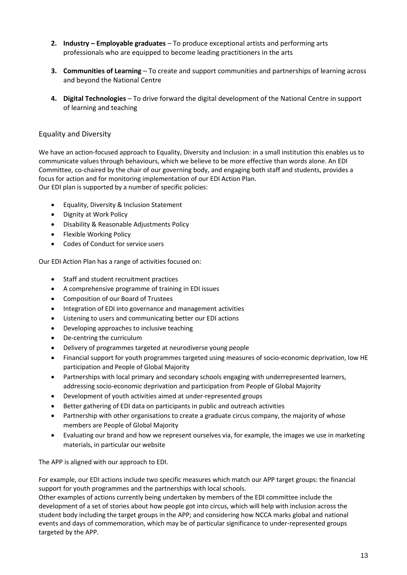- **2. Industry – Employable graduates**  To produce exceptional artists and performing arts professionals who are equipped to become leading practitioners in the arts
- **3. Communities of Learning**  To create and support communities and partnerships of learning across and beyond the National Centre
- **4. Digital Technologies**  To drive forward the digital development of the National Centre in support of learning and teaching

#### Equality and Diversity

We have an action-focused approach to Equality, Diversity and Inclusion: in a small institution this enables us to communicate values through behaviours, which we believe to be more effective than words alone. An EDI Committee, co-chaired by the chair of our governing body, and engaging both staff and students, provides a focus for action and for monitoring implementation of our EDI Action Plan. Our EDI plan is supported by a number of specific policies:

- Equality, Diversity & Inclusion Statement
- Dignity at Work Policy
- Disability & Reasonable Adjustments Policy
- Flexible Working Policy
- Codes of Conduct for service users

Our EDI Action Plan has a range of activities focused on:

- Staff and student recruitment practices
- A comprehensive programme of training in EDI issues
- Composition of our Board of Trustees
- Integration of EDI into governance and management activities
- Listening to users and communicating better our EDI actions
- Developing approaches to inclusive teaching
- De-centring the curriculum
- Delivery of programmes targeted at neurodiverse young people
- Financial support for youth programmes targeted using measures of socio-economic deprivation, low HE participation and People of Global Majority
- Partnerships with local primary and secondary schools engaging with underrepresented learners, addressing socio-economic deprivation and participation from People of Global Majority
- Development of youth activities aimed at under-represented groups
- Better gathering of EDI data on participants in public and outreach activities
- Partnership with other organisations to create a graduate circus company, the majority of whose members are People of Global Majority
- Evaluating our brand and how we represent ourselves via, for example, the images we use in marketing materials, in particular our website

The APP is aligned with our approach to EDI.

For example, our EDI actions include two specific measures which match our APP target groups: the financial support for youth programmes and the partnerships with local schools.

Other examples of actions currently being undertaken by members of the EDI committee include the development of a set of stories about how people got into circus, which will help with inclusion across the student body including the target groups in the APP; and considering how NCCA marks global and national events and days of commemoration, which may be of particular significance to under-represented groups targeted by the APP.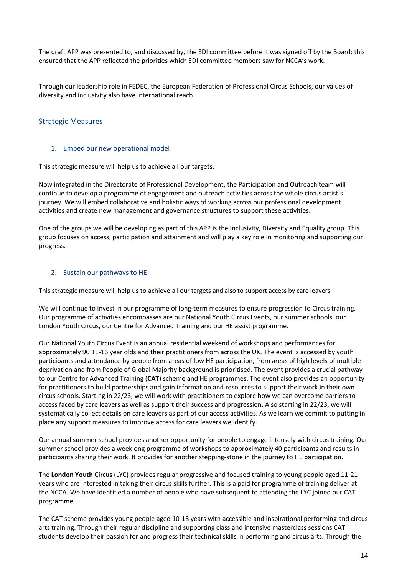The draft APP was presented to, and discussed by, the EDI committee before it was signed off by the Board: this ensured that the APP reflected the priorities which EDI committee members saw for NCCA's work.

Through our leadership role in FEDEC, the European Federation of Professional Circus Schools, our values of diversity and inclusivity also have international reach.

#### Strategic Measures

#### 1. Embed our new operational model

This strategic measure will help us to achieve all our targets.

Now integrated in the Directorate of Professional Development, the Participation and Outreach team will continue to develop a programme of engagement and outreach activities across the whole circus artist's journey. We will embed collaborative and holistic ways of working across our professional development activities and create new management and governance structures to support these activities.

One of the groups we will be developing as part of this APP is the Inclusivity, Diversity and Equality group. This group focuses on access, participation and attainment and will play a key role in monitoring and supporting our progress.

#### 2. Sustain our pathways to HE

This strategic measure will help us to achieve all our targets and also to support access by care leavers.

We will continue to invest in our programme of long-term measures to ensure progression to Circus training. Our programme of activities encompasses are our National Youth Circus Events, our summer schools, our London Youth Circus, our Centre for Advanced Training and our HE assist programme.

Our National Youth Circus Event is an annual residential weekend of workshops and performances for approximately 90 11-16 year olds and their practitioners from across the UK. The event is accessed by youth participants and attendance by people from areas of low HE participation, from areas of high levels of multiple deprivation and from People of Global Majority background is prioritised. The event provides a crucial pathway to our Centre for Advanced Training (**CAT**) scheme and HE programmes. The event also provides an opportunity for practitioners to build partnerships and gain information and resources to support their work in their own circus schools. Starting in 22/23, we will work with practitioners to explore how we can overcome barriers to access faced by care leavers as well as support their success and progression. Also starting in 22/23, we will systematically collect details on care leavers as part of our access activities. As we learn we commit to putting in place any support measures to improve access for care leavers we identify.

Our annual summer school provides another opportunity for people to engage intensely with circus training. Our summer school provides a weeklong programme of workshops to approximately 40 participants and results in participants sharing their work. It provides for another stepping-stone in the journey to HE participation.

The **London Youth Circus** (LYC) provides regular progressive and focused training to young people aged 11-21 years who are interested in taking their circus skills further. This is a paid for programme of training deliver at the NCCA. We have identified a number of people who have subsequent to attending the LYC joined our CAT programme.

The CAT scheme provides young people aged 10-18 years with accessible and inspirational performing and circus arts training. Through their regular discipline and supporting class and intensive masterclass sessions CAT students develop their passion for and progress their technical skills in performing and circus arts. Through the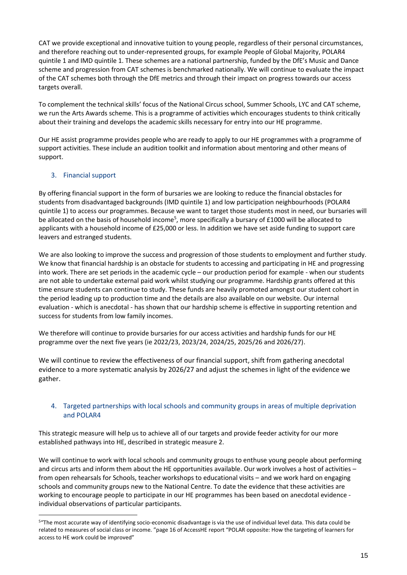CAT we provide exceptional and innovative tuition to young people, regardless of their personal circumstances, and therefore reaching out to under-represented groups, for example People of Global Majority, POLAR4 quintile 1 and IMD quintile 1. These schemes are a national partnership, funded by the DfE's Music and Dance scheme and progression from CAT schemes is benchmarked nationally. We will continue to evaluate the impact of the CAT schemes both through the DfE metrics and through their impact on progress towards our access targets overall.

To complement the technical skills' focus of the National Circus school, Summer Schools, LYC and CAT scheme, we run the Arts Awards scheme. This is a programme of activities which encourages students to think critically about their training and develops the academic skills necessary for entry into our HE programme.

Our HE assist programme provides people who are ready to apply to our HE programmes with a programme of support activities. These include an audition toolkit and information about mentoring and other means of support.

#### 3. Financial support

By offering financial support in the form of bursaries we are looking to reduce the financial obstacles for students from disadvantaged backgrounds (IMD quintile 1) and low participation neighbourhoods (POLAR4 quintile 1) to access our programmes. Because we want to target those students most in need, our bursaries will be allocated on the basis of household income<sup>5</sup>, more specifically a bursary of £1000 will be allocated to applicants with a household income of £25,000 or less. In addition we have set aside funding to support care leavers and estranged students.

We are also looking to improve the success and progression of those students to employment and further study. We know that financial hardship is an obstacle for students to accessing and participating in HE and progressing into work. There are set periods in the academic cycle – our production period for example - when our students are not able to undertake external paid work whilst studying our programme. Hardship grants offered at this time ensure students can continue to study. These funds are heavily promoted amongst our student cohort in the period leading up to production time and the details are also available on our website. Our internal evaluation - which is anecdotal - has shown that our hardship scheme is effective in supporting retention and success for students from low family incomes.

We therefore will continue to provide bursaries for our access activities and hardship funds for our HE programme over the next five years (ie 2022/23, 2023/24, 2024/25, 2025/26 and 2026/27).

We will continue to review the effectiveness of our financial support, shift from gathering anecdotal evidence to a more systematic analysis by 2026/27 and adjust the schemes in light of the evidence we gather.

#### 4. Targeted partnerships with local schools and community groups in areas of multiple deprivation and POLAR4

This strategic measure will help us to achieve all of our targets and provide feeder activity for our more established pathways into HE, described in strategic measure 2.

We will continue to work with local schools and community groups to enthuse young people about performing and circus arts and inform them about the HE opportunities available. Our work involves a host of activities – from open rehearsals for Schools, teacher workshops to educational visits – and we work hard on engaging schools and community groups new to the National Centre. To date the evidence that these activities are working to encourage people to participate in our HE programmes has been based on anecdotal evidence individual observations of particular participants.

<sup>5&</sup>quot;The most accurate way of identifying socio-economic disadvantage is via the use of individual level data. This data could be related to measures of social class or income. "page 16 of AccessHE report "POLAR opposite: How the targeting of learners for access to HE work could be improved"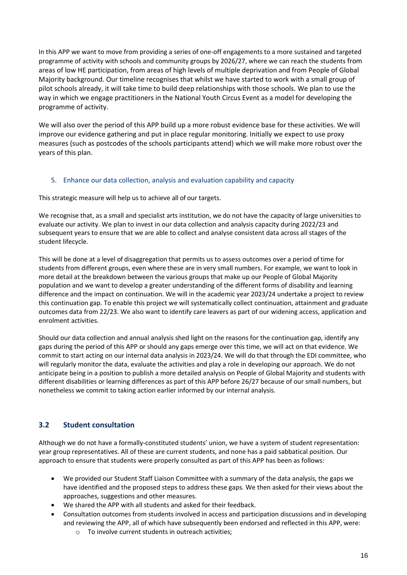In this APP we want to move from providing a series of one-off engagements to a more sustained and targeted programme of activity with schools and community groups by 2026/27, where we can reach the students from areas of low HE participation, from areas of high levels of multiple deprivation and from People of Global Majority background. Our timeline recognises that whilst we have started to work with a small group of pilot schools already, it will take time to build deep relationships with those schools. We plan to use the way in which we engage practitioners in the National Youth Circus Event as a model for developing the programme of activity.

We will also over the period of this APP build up a more robust evidence base for these activities. We will improve our evidence gathering and put in place regular monitoring. Initially we expect to use proxy measures (such as postcodes of the schools participants attend) which we will make more robust over the years of this plan.

#### 5. Enhance our data collection, analysis and evaluation capability and capacity

This strategic measure will help us to achieve all of our targets.

We recognise that, as a small and specialist arts institution, we do not have the capacity of large universities to evaluate our activity. We plan to invest in our data collection and analysis capacity during 2022/23 and subsequent years to ensure that we are able to collect and analyse consistent data across all stages of the student lifecycle.

This will be done at a level of disaggregation that permits us to assess outcomes over a period of time for students from different groups, even where these are in very small numbers. For example, we want to look in more detail at the breakdown between the various groups that make up our People of Global Majority population and we want to develop a greater understanding of the different forms of disability and learning difference and the impact on continuation. We will in the academic year 2023/24 undertake a project to review this continuation gap. To enable this project we will systematically collect continuation, attainment and graduate outcomes data from 22/23. We also want to identify care leavers as part of our widening access, application and enrolment activities.

Should our data collection and annual analysis shed light on the reasons for the continuation gap, identify any gaps during the period of this APP or should any gaps emerge over this time, we will act on that evidence. We commit to start acting on our internal data analysis in 2023/24. We will do that through the EDI committee, who will regularly monitor the data, evaluate the activities and play a role in developing our approach. We do not anticipate being in a position to publish a more detailed analysis on People of Global Majority and students with different disabilities or learning differences as part of this APP before 26/27 because of our small numbers, but nonetheless we commit to taking action earlier informed by our internal analysis.

## **3.2 Student consultation**

Although we do not have a formally-constituted students' union, we have a system of student representation: year group representatives. All of these are current students, and none has a paid sabbatical position. Our approach to ensure that students were properly consulted as part of this APP has been as follows:

- We provided our Student Staff Liaison Committee with a summary of the data analysis, the gaps we have identified and the proposed steps to address these gaps. We then asked for their views about the approaches, suggestions and other measures.
- We shared the APP with all students and asked for their feedback.
- Consultation outcomes from students involved in access and participation discussions and in developing and reviewing the APP, all of which have subsequently been endorsed and reflected in this APP, were:
	- o To involve current students in outreach activities;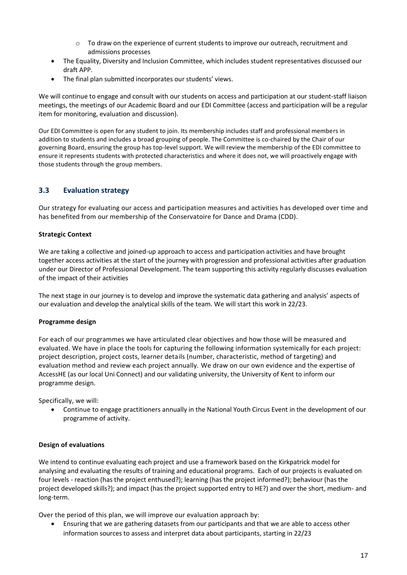- $\circ$  To draw on the experience of current students to improve our outreach, recruitment and admissions processes
- The Equality, Diversity and Inclusion Committee, which includes student representatives discussed our draft APP.
- The final plan submitted incorporates our students' views.

We will continue to engage and consult with our students on access and participation at our student-staff liaison meetings, the meetings of our Academic Board and our EDI Committee (access and participation will be a regular item for monitoring, evaluation and discussion).

Our EDI Committee is open for any student to join. Its membership includes staff and professional members in addition to students and includes a broad grouping of people. The Committee is co-chaired by the Chair of our governing Board, ensuring the group has top-level support. We will review the membership of the EDI committee to ensure it represents students with protected characteristics and where it does not, we will proactively engage with those students through the group members.

## **3.3 Evaluation strategy**

Our strategy for evaluating our access and participation measures and activities has developed over time and has benefited from our membership of the Conservatoire for Dance and Drama (CDD).

#### **Strategic Context**

We are taking a collective and joined-up approach to access and participation activities and have brought together access activities at the start of the journey with progression and professional activities after graduation under our Director of Professional Development. The team supporting this activity regularly discusses evaluation of the impact of their activities

The next stage in our journey is to develop and improve the systematic data gathering and analysis' aspects of our evaluation and develop the analytical skills of the team. We will start this work in 22/23.

#### **Programme design**

For each of our programmes we have articulated clear objectives and how those will be measured and evaluated. We have in place the tools for capturing the following information systemically for each project: project description, project costs, learner details (number, characteristic, method of targeting) and evaluation method and review each project annually. We draw on our own evidence and the expertise of AccessHE (as our local Uni Connect) and our validating university, the University of Kent to inform our programme design.

Specifically, we will:

• Continue to engage practitioners annually in the National Youth Circus Event in the development of our programme of activity.

#### **Design of evaluations**

We intend to continue evaluating each project and use a framework based on the Kirkpatrick model for analysing and evaluating the results of training and educational programs. Each of our projects is evaluated on four levels - reaction (has the project enthused?); learning (has the project informed?); behaviour (has the project developed skills?); and impact (has the project supported entry to HE?) and over the short, medium- and long-term.

Over the period of this plan, we will improve our evaluation approach by:

• Ensuring that we are gathering datasets from our participants and that we are able to access other information sources to assess and interpret data about participants, starting in 22/23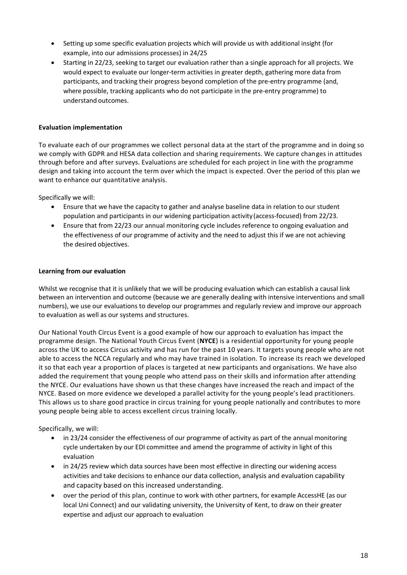- Setting up some specific evaluation projects which will provide us with additional insight (for example, into our admissions processes) in 24/25
- Starting in 22/23, seeking to target our evaluation rather than a single approach for all projects. We would expect to evaluate our longer-term activities in greater depth, gathering more data from participants, and tracking their progress beyond completion of the pre-entry programme (and, where possible, tracking applicants who do not participate in the pre-entry programme) to understand outcomes.

#### **Evaluation implementation**

To evaluate each of our programmes we collect personal data at the start of the programme and in doing so we comply with GDPR and HESA data collection and sharing requirements. We capture changes in attitudes through before and after surveys. Evaluations are scheduled for each project in line with the programme design and taking into account the term over which the impact is expected. Over the period of this plan we want to enhance our quantitative analysis.

Specifically we will:

- Ensure that we have the capacity to gather and analyse baseline data in relation to our student population and participants in our widening participation activity(access-focused) from 22/23.
- Ensure that from 22/23 our annual monitoring cycle includes reference to ongoing evaluation and the effectiveness of our programme of activity and the need to adjust this if we are not achieving the desired objectives.

#### **Learning from our evaluation**

Whilst we recognise that it is unlikely that we will be producing evaluation which can establish a causal link between an intervention and outcome (because we are generally dealing with intensive interventions and small numbers), we use our evaluations to develop our programmes and regularly review and improve our approach to evaluation as well as our systems and structures.

Our National Youth Circus Event is a good example of how our approach to evaluation has impact the programme design. The National Youth Circus Event (**NYCE**) is a residential opportunity for young people across the UK to access Circus activity and has run for the past 10 years. It targets young people who are not able to access the NCCA regularly and who may have trained in isolation. To increase its reach we developed it so that each year a proportion of places is targeted at new participants and organisations. We have also added the requirement that young people who attend pass on their skills and information after attending the NYCE. Our evaluations have shown us that these changes have increased the reach and impact of the NYCE. Based on more evidence we developed a parallel activity for the young people's lead practitioners. This allows us to share good practice in circus training for young people nationally and contributes to more young people being able to access excellent circus training locally.

Specifically, we will:

- in 23/24 consider the effectiveness of our programme of activity as part of the annual monitoring cycle undertaken by our EDI committee and amend the programme of activity in light of this evaluation
- in 24/25 review which data sources have been most effective in directing our widening access activities and take decisions to enhance our data collection, analysis and evaluation capability and capacity based on this increased understanding.
- over the period of this plan, continue to work with other partners, for example AccessHE (as our local Uni Connect) and our validating university, the University of Kent, to draw on their greater expertise and adjust our approach to evaluation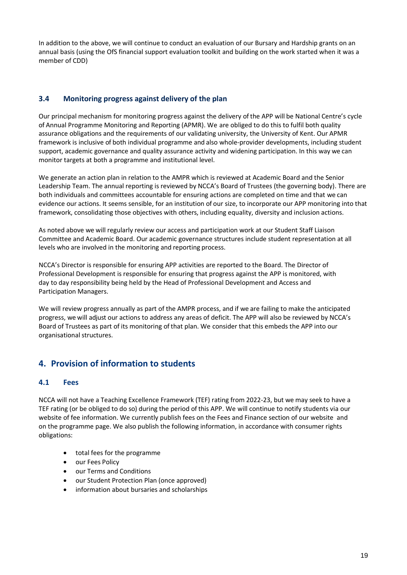In addition to the above, we will continue to conduct an evaluation of our Bursary and Hardship grants on an annual basis (using the OfS financial support evaluation toolkit and building on the work started when it was a member of CDD)

## **3.4 Monitoring progress against delivery of the plan**

Our principal mechanism for monitoring progress against the delivery of the APP will be National Centre's cycle of Annual Programme Monitoring and Reporting (APMR). We are obliged to do this to fulfil both quality assurance obligations and the requirements of our validating university, the University of Kent. Our APMR framework is inclusive of both individual programme and also whole-provider developments, including student support, academic governance and quality assurance activity and widening participation. In this way we can monitor targets at both a programme and institutional level.

We generate an action plan in relation to the AMPR which is reviewed at Academic Board and the Senior Leadership Team. The annual reporting is reviewed by NCCA's Board of Trustees (the governing body). There are both individuals and committees accountable for ensuring actions are completed on time and that we can evidence our actions. It seems sensible, for an institution of our size, to incorporate our APP monitoring into that framework, consolidating those objectives with others, including equality, diversity and inclusion actions.

As noted above we will regularly review our access and participation work at our Student Staff Liaison Committee and Academic Board. Our academic governance structures include student representation at all levels who are involved in the monitoring and reporting process.

NCCA's Director is responsible for ensuring APP activities are reported to the Board. The Director of Professional Development is responsible for ensuring that progress against the APP is monitored, with day to day responsibility being held by the Head of Professional Development and Access and Participation Managers.

We will review progress annually as part of the AMPR process, and if we are failing to make the anticipated progress, we will adjust our actions to address any areas of deficit. The APP will also be reviewed by NCCA's Board of Trustees as part of its monitoring of that plan. We consider that this embeds the APP into our organisational structures.

# **4. Provision of information to students**

## **4.1 Fees**

NCCA will not have a Teaching Excellence Framework (TEF) rating from 2022-23, but we may seek to have a TEF rating (or be obliged to do so) during the period of this APP. We will continue to notify students via our website of fee information. We currently publish fees on the Fees and Finance section of our website and on the programme page. We also publish the following information, in accordance with consumer rights obligations:

- total fees for the programme
- our Fees Policy
- our Terms and Conditions
- our Student Protection Plan (once approved)
- information about bursaries and scholarships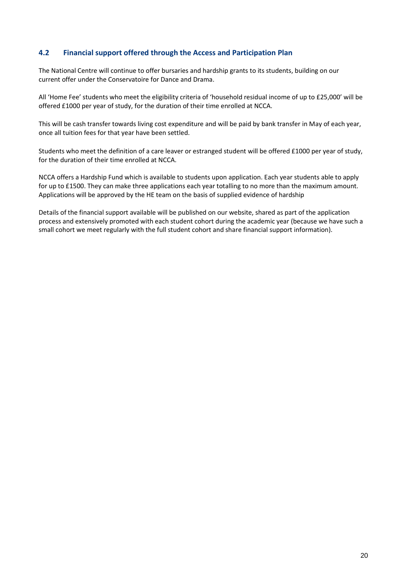#### **4.2 Financial support offered through the Access and Participation Plan**

The National Centre will continue to offer bursaries and hardship grants to its students, building on our current offer under the Conservatoire for Dance and Drama.

All 'Home Fee' students who meet the eligibility criteria of 'household residual income of up to £25,000' will be offered £1000 per year of study, for the duration of their time enrolled at NCCA.

This will be cash transfer towards living cost expenditure and will be paid by bank transfer in May of each year, once all tuition fees for that year have been settled.

Students who meet the definition of a care leaver or estranged student will be offered £1000 per year of study, for the duration of their time enrolled at NCCA.

NCCA offers a Hardship Fund which is available to students upon application. Each year students able to apply for up to £1500. They can make three applications each year totalling to no more than the maximum amount. Applications will be approved by the HE team on the basis of supplied evidence of hardship

Details of the financial support available will be published on our website, shared as part of the application process and extensively promoted with each student cohort during the academic year (because we have such a small cohort we meet regularly with the full student cohort and share financial support information).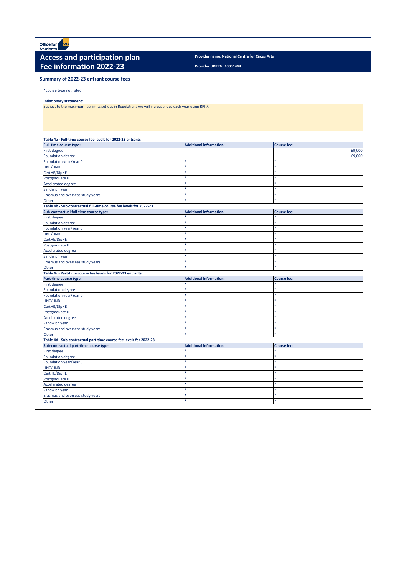Office for ofs

## **Access and participation plan Provider name: National Centre for Circus Arts Fee information 2022-23**

**Provider UKPRN: 10001444**

#### **Summary of 2022-23 entrant course fees**

\*course type not listed

#### **Inflationary statement:**

Subject to the maximum fee limits set out in Regulations we will increase fees each year using RPI-X

| Table 4a - Full-time course fee levels for 2022-23 entrants        |                                |                    |
|--------------------------------------------------------------------|--------------------------------|--------------------|
| <b>Full-time course type:</b>                                      | <b>Additional information:</b> | <b>Course fee:</b> |
| First degree                                                       |                                | £9,000             |
| <b>Foundation degree</b>                                           |                                | £9,000             |
| Foundation year/Year 0                                             |                                |                    |
| HNC/HND                                                            |                                | s.                 |
| CertHE/DipHE                                                       |                                |                    |
| Postgraduate ITT                                                   |                                |                    |
| <b>Accelerated degree</b>                                          |                                | 蜜                  |
| Sandwich year                                                      |                                | ×                  |
| Erasmus and overseas study years                                   | ×.                             | $\star$            |
| Other                                                              | ŵ.                             | $\star$            |
| Table 4b - Sub-contractual full-time course fee levels for 2022-23 |                                |                    |
| Sub-contractual full-time course type:                             | <b>Additional information:</b> | <b>Course fee:</b> |
| First degree                                                       |                                |                    |
| <b>Foundation degree</b>                                           |                                | ×.                 |
| Foundation year/Year 0                                             |                                |                    |
| HNC/HND                                                            | ¢.                             | *                  |
| CertHE/DipHE                                                       | ŵ                              | s.                 |
| Postgraduate ITT                                                   |                                | ×                  |
| <b>Accelerated degree</b>                                          | á.                             |                    |
| Sandwich year                                                      |                                |                    |
| Erasmus and overseas study years                                   | $\star$                        | š.                 |
| Other                                                              | á.                             | ×                  |
| Table 4c - Part-time course fee levels for 2022-23 entrants        |                                |                    |
| Part-time course type:                                             | <b>Additional information:</b> | <b>Course fee:</b> |
| First degree                                                       |                                |                    |
| <b>Foundation degree</b>                                           |                                |                    |
| Foundation year/Year 0                                             |                                |                    |
| HNC/HND                                                            |                                |                    |
| CertHE/DipHE                                                       |                                |                    |
| Postgraduate ITT                                                   |                                |                    |
| <b>Accelerated degree</b>                                          |                                |                    |
| Sandwich year                                                      |                                | ×                  |
| Erasmus and overseas study years                                   |                                |                    |
| Other                                                              | ŵ                              | $\star$            |
| Table 4d - Sub-contractual part-time course fee levels for 2022-23 |                                |                    |
| Sub-contractual part-time course type:                             | <b>Additional information:</b> | <b>Course fee:</b> |
| First degree                                                       |                                |                    |
| <b>Foundation degree</b>                                           |                                | 索                  |
| Foundation year/Year 0                                             |                                | sk.                |
| HNC/HND                                                            | ŵ                              | 索                  |
| CertHE/DipHE                                                       |                                | ×                  |
| Postgraduate ITT                                                   | *                              | $\ast$             |
| <b>Accelerated degree</b>                                          |                                | $\star$            |
| Sandwich year                                                      | *                              | $\ast$             |
| Erasmus and overseas study years                                   | ¢.                             | ×                  |
| Other                                                              | ×.                             |                    |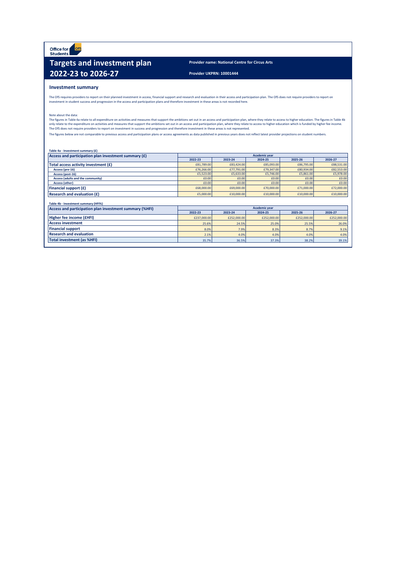Office for ofs

## **Targets and investment plan Provider name: National Centre for Circus Arts 2022-23 to 2026-27 Provider UKPRN: 10001444**

#### **Investment summary**

The OfS requires providers to report on their planned investment in access, financial support and research and evaluation in their access and participation plan. The OfS does not require providers to report on<br>investment i

#### Note about the data:

The figures in Table 4a relate to all expenditure on activities and measures that support the ambitions set out in an access and participation plan, where they relate to access to higher education. The figures in Table 4b<br>

The figures below are not comparable to previous access and participation plans or access agreements as data published in previous years does not reflect latest provider projections on student numbers.

| Table 4a - Investment summary (£) |  |  |
|-----------------------------------|--|--|
|                                   |  |  |

| Access and participation plan investment summary (£) |            |            | <b>Academic year</b> |            |            |
|------------------------------------------------------|------------|------------|----------------------|------------|------------|
|                                                      | 2022-23    | 2023-24    | 2024-25              | 2025-26    | 2026-27    |
| Total access activity investment (£)                 | £81,789.00 | £83,424.00 | £85,093,00           | £86,795.00 | £88,531.00 |
| Access (pre-16)                                      | £76,266,00 | £77,791.00 | £79,347,00           | £80,934,00 | £82,553.00 |
| Access (post-16)                                     | £5,523.00  | £5,633.00  | £5,746.00            | £5,861.00  | £5,978.00  |
| Access (adults and the community)                    | £0.00      | £0.00      | £0.00                | £0.00      | £0.00      |
| <b>Access (other)</b>                                | £0.00      | £0.00      | £0.00                | £0.00      | £0.00      |
| Financial support (£)                                | £68,000,00 | £69,000,00 | £70,000,00           | £71,000.00 | £72,000.00 |
| <b>Research and evaluation (£)</b>                   | £5,000.00  | £10,000,00 | £10,000,00           | £10,000,00 | £10,000.00 |
|                                                      |            |            |                      |            |            |

| Table 4b - Investment summary (HFI%)                    |                      |             |             |             |             |  |  |  |  |
|---------------------------------------------------------|----------------------|-------------|-------------|-------------|-------------|--|--|--|--|
| Access and participation plan investment summary (%HFI) | <b>Academic year</b> |             |             |             |             |  |  |  |  |
|                                                         | 2022-23              | 2023-24     | 2024-25     | 2025-26     | 2026-27     |  |  |  |  |
| Higher fee income (£HFI)                                | £237,000.00          | £252,000,00 | £252,000.00 | £252,000.00 | £252,000.00 |  |  |  |  |
| <b>Access investment</b>                                | 25.6%                | 24.5%       | 25.0%       | 25.5%       | 26.0%       |  |  |  |  |
| <b>Financial support</b>                                | 8.0%                 | 7.9%        | 8.3%        | 8.7%        | 9.1%        |  |  |  |  |
| <b>Research and evaluation</b>                          | 2.1%                 | 4.0%        | 4.0%        | 4.0%        | 4.0%        |  |  |  |  |
| <b>Total investment (as %HFI)</b>                       | 35.7%                | 36.5%       | 37.3%       | 38.2%       | 39.1%       |  |  |  |  |